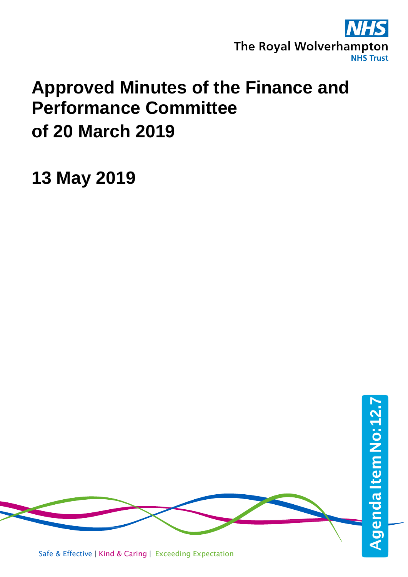

## **Approved Minutes of the Finance and Performance Committee of 20 March 2019**

**13 May 2019**

Safe & Effective | Kind & Caring | Exceeding Expectation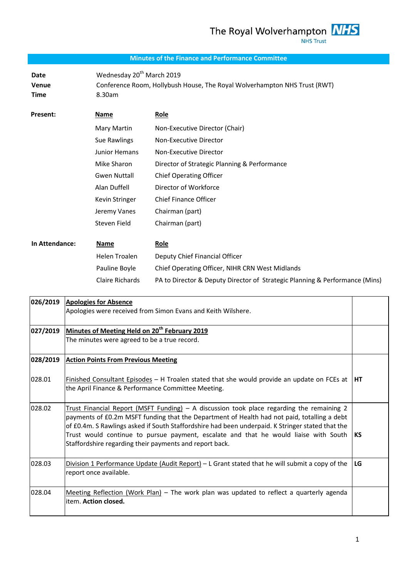## **Minutes of the Finance and Performance Committee**

Date Wednesday 20<sup>th</sup> March 2019 **Venue** Conference Room, Hollybush House, The Royal Wolverhampton NHS Trust (RWT) **Time** 8.30am

| <b>Present:</b> | Name                 | Role                                         |
|-----------------|----------------------|----------------------------------------------|
|                 | Mary Martin          | Non-Executive Director (Chair)               |
|                 | Sue Rawlings         | Non-Executive Director                       |
|                 | Junior Hemans        | Non-Executive Director                       |
|                 | Mike Sharon          | Director of Strategic Planning & Performance |
|                 | <b>Gwen Nuttall</b>  | <b>Chief Operating Officer</b>               |
|                 | Alan Duffell         | Director of Workforce                        |
|                 | Kevin Stringer       | <b>Chief Finance Officer</b>                 |
|                 | Jeremy Vanes         | Chairman (part)                              |
|                 | Steven Field         | Chairman (part)                              |
|                 |                      |                                              |
| In Attendance:  | Name                 | Role                                         |
|                 | <b>Helen Troalen</b> | Deputy Chief Financial Officer               |

| Allenuanle. | <u>ivality</u>  | <u>nuie</u>                                                                 |
|-------------|-----------------|-----------------------------------------------------------------------------|
|             | Helen Troalen   | Deputy Chief Financial Officer                                              |
|             | Pauline Boyle   | Chief Operating Officer, NIHR CRN West Midlands                             |
|             | Claire Richards | PA to Director & Deputy Director of Strategic Planning & Performance (Mins) |

| 026/2019 | <b>Apologies for Absence</b>                                                                                                                                                                                                                                                                                                                                                                                                                    |    |
|----------|-------------------------------------------------------------------------------------------------------------------------------------------------------------------------------------------------------------------------------------------------------------------------------------------------------------------------------------------------------------------------------------------------------------------------------------------------|----|
|          | Apologies were received from Simon Evans and Keith Wilshere.                                                                                                                                                                                                                                                                                                                                                                                    |    |
| 027/2019 | Minutes of Meeting Held on 20 <sup>th</sup> February 2019                                                                                                                                                                                                                                                                                                                                                                                       |    |
|          | The minutes were agreed to be a true record.                                                                                                                                                                                                                                                                                                                                                                                                    |    |
| 028/2019 | <b>Action Points From Previous Meeting</b>                                                                                                                                                                                                                                                                                                                                                                                                      |    |
| 028.01   | Finished Consultant Episodes $-$ H Troalen stated that she would provide an update on FCEs at<br>the April Finance & Performance Committee Meeting.                                                                                                                                                                                                                                                                                             | HТ |
| 028.02   | Trust Financial Report (MSFT Funding) - A discussion took place regarding the remaining 2<br>payments of £0.2m MSFT funding that the Department of Health had not paid, totalling a debt<br>of £0.4m. S Rawlings asked if South Staffordshire had been underpaid. K Stringer stated that the<br>Trust would continue to pursue payment, escalate and that he would liaise with South<br>Staffordshire regarding their payments and report back. | КS |
| 028.03   | Division 1 Performance Update (Audit Report) - L Grant stated that he will submit a copy of the<br>report once available.                                                                                                                                                                                                                                                                                                                       | LG |
| 028.04   | Meeting Reflection (Work Plan) – The work plan was updated to reflect a quarterly agenda<br>item. Action closed.                                                                                                                                                                                                                                                                                                                                |    |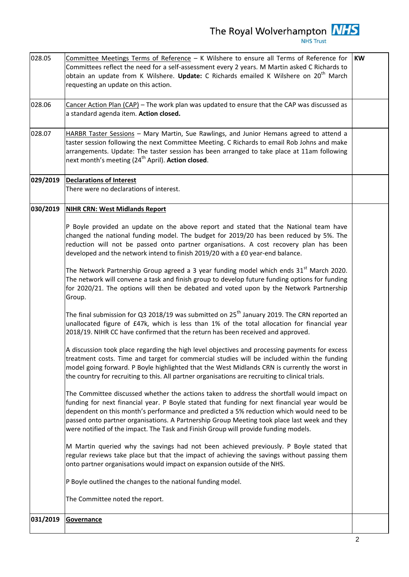028.05 Committee Meetings Terms of Reference - K Wilshere to ensure all Terms of Reference for Committees reflect the need for a self-assessment every 2 years. M Martin asked C Richards to obtain an update from K Wilshere. **Update:** C Richards emailed K Wilshere on 20th March requesting an update on this action. **KW** 028.06 Cancer Action Plan (CAP) – The work plan was updated to ensure that the CAP was discussed as a standard agenda item. **Action closed.**  028.07 HARBR Taster Sessions – Mary Martin, Sue Rawlings, and Junior Hemans agreed to attend a taster session following the next Committee Meeting. C Richards to email Rob Johns and make arrangements. Update: The taster session has been arranged to take place at 11am following next month's meeting (24<sup>th</sup> April). **Action closed**. **029/2019 Declarations of Interest** There were no declarations of interest. **030/2019 NIHR CRN: West Midlands Report** P Boyle provided an update on the above report and stated that the National team have changed the national funding model. The budget for 2019/20 has been reduced by 5%. The reduction will not be passed onto partner organisations. A cost recovery plan has been developed and the network intend to finish 2019/20 with a £0 year-end balance. The Network Partnership Group agreed a 3 year funding model which ends  $31<sup>st</sup>$  March 2020. The network will convene a task and finish group to develop future funding options for funding for 2020/21. The options will then be debated and voted upon by the Network Partnership Group. The final submission for Q3 2018/19 was submitted on  $25<sup>th</sup>$  January 2019. The CRN reported an unallocated figure of £47k, which is less than 1% of the total allocation for financial year 2018/19. NIHR CC have confirmed that the return has been received and approved. A discussion took place regarding the high level objectives and processing payments for excess treatment costs. Time and target for commercial studies will be included within the funding model going forward. P Boyle highlighted that the West Midlands CRN is currently the worst in the country for recruiting to this. All partner organisations are recruiting to clinical trials. The Committee discussed whether the actions taken to address the shortfall would impact on funding for next financial year. P Boyle stated that funding for next financial year would be dependent on this month's performance and predicted a 5% reduction which would need to be passed onto partner organisations. A Partnership Group Meeting took place last week and they were notified of the impact. The Task and Finish Group will provide funding models. M Martin queried why the savings had not been achieved previously. P Boyle stated that regular reviews take place but that the impact of achieving the savings without passing them onto partner organisations would impact on expansion outside of the NHS. P Boyle outlined the changes to the national funding model. The Committee noted the report. **031/2019 Governance**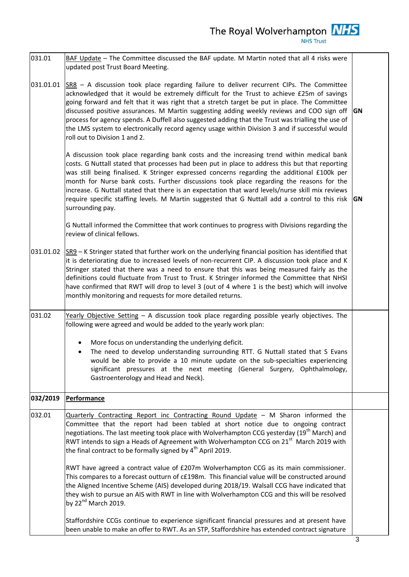| 031.01    | BAF Update - The Committee discussed the BAF update. M Martin noted that all 4 risks were<br>updated post Trust Board Meeting.                                                                                                                                                                                                                                                                                                                                                                                                                                                                                                |           |
|-----------|-------------------------------------------------------------------------------------------------------------------------------------------------------------------------------------------------------------------------------------------------------------------------------------------------------------------------------------------------------------------------------------------------------------------------------------------------------------------------------------------------------------------------------------------------------------------------------------------------------------------------------|-----------|
| 031.01.01 | SR8 - A discussion took place regarding failure to deliver recurrent CIPs. The Committee<br>acknowledged that it would be extremely difficult for the Trust to achieve £25m of savings<br>going forward and felt that it was right that a stretch target be put in place. The Committee<br>discussed positive assurances. M Martin suggesting adding weekly reviews and COO sign off<br>process for agency spends. A Duffell also suggested adding that the Trust was trialling the use of<br>the LMS system to electronically record agency usage within Division 3 and if successful would<br>roll out to Division 1 and 2. |           |
|           | A discussion took place regarding bank costs and the increasing trend within medical bank<br>costs. G Nuttall stated that processes had been put in place to address this but that reporting<br>was still being finalised. K Stringer expressed concerns regarding the additional £100k per<br>month for Nurse bank costs. Further discussions took place regarding the reasons for the<br>increase. G Nuttall stated that there is an expectation that ward levels/nurse skill mix reviews<br>require specific staffing levels. M Martin suggested that G Nuttall add a control to this risk<br>surrounding pay.             | <b>GN</b> |
|           | G Nuttall informed the Committee that work continues to progress with Divisions regarding the<br>review of clinical fellows.                                                                                                                                                                                                                                                                                                                                                                                                                                                                                                  |           |
|           | 031.01.02 $ SR9 - K$ Stringer stated that further work on the underlying financial position has identified that<br>it is deteriorating due to increased levels of non-recurrent CIP. A discussion took place and K<br>Stringer stated that there was a need to ensure that this was being measured fairly as the<br>definitions could fluctuate from Trust to Trust. K Stringer informed the Committee that NHSI<br>have confirmed that RWT will drop to level 3 (out of 4 where 1 is the best) which will involve<br>monthly monitoring and requests for more detailed returns.                                              |           |
| 031.02    | Yearly Objective Setting $-$ A discussion took place regarding possible yearly objectives. The<br>following were agreed and would be added to the yearly work plan:                                                                                                                                                                                                                                                                                                                                                                                                                                                           |           |
|           | More focus on understanding the underlying deficit.<br>$\bullet$<br>The need to develop understanding surrounding RTT. G Nuttall stated that S Evans<br>$\bullet$<br>would be able to provide a 10 minute update on the sub-specialties experiencing<br>significant pressures at the next meeting (General Surgery, Ophthalmology,<br>Gastroenterology and Head and Neck).                                                                                                                                                                                                                                                    |           |
| 032/2019  | Performance                                                                                                                                                                                                                                                                                                                                                                                                                                                                                                                                                                                                                   |           |
| 032.01    | Quarterly Contracting Report inc Contracting Round Update - M Sharon informed the<br>Committee that the report had been tabled at short notice due to ongoing contract<br>negotiations. The last meeting took place with Wolverhampton CCG yesterday (19 <sup>th</sup> March) and<br>RWT intends to sign a Heads of Agreement with Wolverhampton CCG on 21 <sup>st</sup> March 2019 with<br>the final contract to be formally signed by 4 <sup>th</sup> April 2019.                                                                                                                                                           |           |
|           | RWT have agreed a contract value of £207m Wolverhampton CCG as its main commissioner.<br>This compares to a forecast outturn of c£198m. This financial value will be constructed around<br>the Aligned Incentive Scheme (AIS) developed during 2018/19. Walsall CCG have indicated that<br>they wish to pursue an AIS with RWT in line with Wolverhampton CCG and this will be resolved<br>by $22^{nd}$ March 2019.                                                                                                                                                                                                           |           |
|           | Staffordshire CCGs continue to experience significant financial pressures and at present have<br>been unable to make an offer to RWT. As an STP, Staffordshire has extended contract signature                                                                                                                                                                                                                                                                                                                                                                                                                                |           |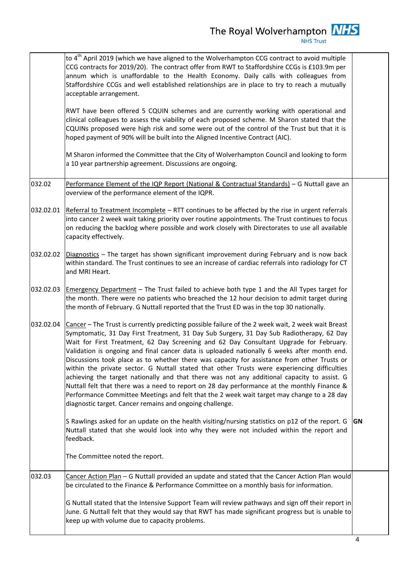|           | to $4^{\text{th}}$ April 2019 (which we have aligned to the Wolverhampton CCG contract to avoid multiple<br>CCG contracts for 2019/20). The contract offer from RWT to Staffordshire CCGs is £103.9m per<br>annum which is unaffordable to the Health Economy. Daily calls with colleagues from<br>Staffordshire CCGs and well established relationships are in place to try to reach a mutually<br>acceptable arrangement.                                                                                                                                                                                                                                                                                                                                                                                                                                                                                                                    |           |
|-----------|------------------------------------------------------------------------------------------------------------------------------------------------------------------------------------------------------------------------------------------------------------------------------------------------------------------------------------------------------------------------------------------------------------------------------------------------------------------------------------------------------------------------------------------------------------------------------------------------------------------------------------------------------------------------------------------------------------------------------------------------------------------------------------------------------------------------------------------------------------------------------------------------------------------------------------------------|-----------|
|           | RWT have been offered 5 CQUIN schemes and are currently working with operational and<br>clinical colleagues to assess the viability of each proposed scheme. M Sharon stated that the<br>CQUINs proposed were high risk and some were out of the control of the Trust but that it is<br>hoped payment of 90% will be built into the Aligned Incentive Contract (AIC).                                                                                                                                                                                                                                                                                                                                                                                                                                                                                                                                                                          |           |
|           | M Sharon informed the Committee that the City of Wolverhampton Council and looking to form<br>a 10 year partnership agreement. Discussions are ongoing.                                                                                                                                                                                                                                                                                                                                                                                                                                                                                                                                                                                                                                                                                                                                                                                        |           |
| 032.02    | Performance Element of the IQP Report (National & Contractual Standards) - G Nuttall gave an<br>overview of the performance element of the IQPR.                                                                                                                                                                                                                                                                                                                                                                                                                                                                                                                                                                                                                                                                                                                                                                                               |           |
|           | 032.02.01 Referral to Treatment Incomplete – RTT continues to be affected by the rise in urgent referrals<br>into cancer 2 week wait taking priority over routine appointments. The Trust continues to focus<br>on reducing the backlog where possible and work closely with Directorates to use all available<br>capacity effectively.                                                                                                                                                                                                                                                                                                                                                                                                                                                                                                                                                                                                        |           |
| 032.02.02 | Diagnostics - The target has shown significant improvement during February and is now back<br>within standard. The Trust continues to see an increase of cardiac referrals into radiology for CT<br>and MRI Heart.                                                                                                                                                                                                                                                                                                                                                                                                                                                                                                                                                                                                                                                                                                                             |           |
| 032.02.03 | <b>Emergency Department</b> – The Trust failed to achieve both type 1 and the All Types target for<br>the month. There were no patients who breached the 12 hour decision to admit target during<br>the month of February. G Nuttall reported that the Trust ED was in the top 30 nationally.                                                                                                                                                                                                                                                                                                                                                                                                                                                                                                                                                                                                                                                  |           |
| 032.02.04 | Cancer - The Trust is currently predicting possible failure of the 2 week wait, 2 week wait Breast<br>Symptomatic, 31 Day First Treatment, 31 Day Sub Surgery, 31 Day Sub Radiotherapy, 62 Day<br>Wait for First Treatment, 62 Day Screening and 62 Day Consultant Upgrade for February.<br>Validation is ongoing and final cancer data is uploaded nationally 6 weeks after month end.<br>Discussions took place as to whether there was capacity for assistance from other Trusts or<br>within the private sector. G Nuttall stated that other Trusts were experiencing difficulties<br>achieving the target nationally and that there was not any additional capacity to assist. G<br>Nuttall felt that there was a need to report on 28 day performance at the monthly Finance &<br>Performance Committee Meetings and felt that the 2 week wait target may change to a 28 day<br>diagnostic target. Cancer remains and ongoing challenge. |           |
|           | S Rawlings asked for an update on the health visiting/nursing statistics on p12 of the report. G<br>Nuttall stated that she would look into why they were not included within the report and<br>feedback.                                                                                                                                                                                                                                                                                                                                                                                                                                                                                                                                                                                                                                                                                                                                      | <b>GN</b> |
|           | The Committee noted the report.                                                                                                                                                                                                                                                                                                                                                                                                                                                                                                                                                                                                                                                                                                                                                                                                                                                                                                                |           |
| 032.03    | Cancer Action Plan - G Nuttall provided an update and stated that the Cancer Action Plan would<br>be circulated to the Finance & Performance Committee on a monthly basis for information.                                                                                                                                                                                                                                                                                                                                                                                                                                                                                                                                                                                                                                                                                                                                                     |           |
|           | G Nuttall stated that the Intensive Support Team will review pathways and sign off their report in<br>June. G Nuttall felt that they would say that RWT has made significant progress but is unable to<br>keep up with volume due to capacity problems.                                                                                                                                                                                                                                                                                                                                                                                                                                                                                                                                                                                                                                                                                        |           |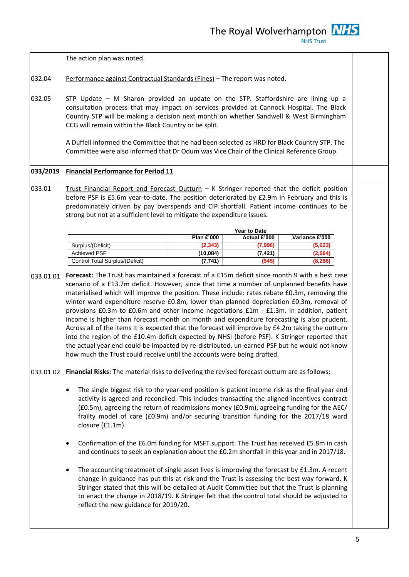|           | The action plan was noted.                                                                                                                                                                                                                                                                                                                                                                                                                                                                                                                                                                                                                                                                                                                                                                                                                                                                                                                                            |                       |                     |                    |  |
|-----------|-----------------------------------------------------------------------------------------------------------------------------------------------------------------------------------------------------------------------------------------------------------------------------------------------------------------------------------------------------------------------------------------------------------------------------------------------------------------------------------------------------------------------------------------------------------------------------------------------------------------------------------------------------------------------------------------------------------------------------------------------------------------------------------------------------------------------------------------------------------------------------------------------------------------------------------------------------------------------|-----------------------|---------------------|--------------------|--|
| 032.04    | Performance against Contractual Standards (Fines) - The report was noted.                                                                                                                                                                                                                                                                                                                                                                                                                                                                                                                                                                                                                                                                                                                                                                                                                                                                                             |                       |                     |                    |  |
| 032.05    | STP Update - M Sharon provided an update on the STP. Staffordshire are lining up a<br>consultation process that may impact on services provided at Cannock Hospital. The Black<br>Country STP will be making a decision next month on whether Sandwell & West Birmingham<br>CCG will remain within the Black Country or be split.                                                                                                                                                                                                                                                                                                                                                                                                                                                                                                                                                                                                                                     |                       |                     |                    |  |
|           | A Duffell informed the Committee that he had been selected as HRD for Black Country STP. The<br>Committee were also informed that Dr Odum was Vice Chair of the Clinical Reference Group.                                                                                                                                                                                                                                                                                                                                                                                                                                                                                                                                                                                                                                                                                                                                                                             |                       |                     |                    |  |
| 033/2019  | <b>Financial Performance for Period 11</b>                                                                                                                                                                                                                                                                                                                                                                                                                                                                                                                                                                                                                                                                                                                                                                                                                                                                                                                            |                       |                     |                    |  |
| 033.01    | Trust Financial Report and Forecast Outturn $-$ K Stringer reported that the deficit position<br>before PSF is £5.6m year-to-date. The position deteriorated by £2.9m in February and this is<br>predominately driven by pay overspends and CIP shortfall. Patient income continues to be<br>strong but not at a sufficient level to mitigate the expenditure issues.                                                                                                                                                                                                                                                                                                                                                                                                                                                                                                                                                                                                 |                       |                     |                    |  |
|           |                                                                                                                                                                                                                                                                                                                                                                                                                                                                                                                                                                                                                                                                                                                                                                                                                                                                                                                                                                       |                       | Year to Date        |                    |  |
|           | Surplus/(Deficit)                                                                                                                                                                                                                                                                                                                                                                                                                                                                                                                                                                                                                                                                                                                                                                                                                                                                                                                                                     | <b>Plan £'000</b>     | Actual £'000        | Variance £'000     |  |
|           | <b>Achieved PSF</b>                                                                                                                                                                                                                                                                                                                                                                                                                                                                                                                                                                                                                                                                                                                                                                                                                                                                                                                                                   | (2, 343)<br>(10, 084) | (7,996)<br>(7, 421) | (5,623)<br>(2,664) |  |
|           | Control Total Surplus/(Deficit)                                                                                                                                                                                                                                                                                                                                                                                                                                                                                                                                                                                                                                                                                                                                                                                                                                                                                                                                       | (7, 741)              | (545)               | (8, 286)           |  |
| 033.01.01 | Forecast: The Trust has maintained a forecast of a £15m deficit since month 9 with a best case<br>scenario of a £13.7m deficit. However, since that time a number of unplanned benefits have<br>materialised which will improve the position. These include: rates rebate £0.3m, removing the<br>winter ward expenditure reserve £0.8m, lower than planned depreciation £0.3m, removal of<br>provisions £0.3m to £0.6m and other income negotiations £1m - £1.3m. In addition, patient<br>income is higher than forecast month on month and expenditure forecasting is also prudent.<br>Across all of the items it is expected that the forecast will improve by £4.2m taking the outturn<br>into the region of the £10.4m deficit expected by NHSI (before PSF). K Stringer reported that<br>the actual year end could be impacted by re-distributed, un-earned PSF but he would not know<br>how much the Trust could receive until the accounts were being drafted. |                       |                     |                    |  |
| 033.01.02 | Financial Risks: The material risks to delivering the revised forecast outturn are as follows:                                                                                                                                                                                                                                                                                                                                                                                                                                                                                                                                                                                                                                                                                                                                                                                                                                                                        |                       |                     |                    |  |
|           | The single biggest risk to the year-end position is patient income risk as the final year end<br>$\bullet$<br>activity is agreed and reconciled. This includes transacting the aligned incentives contract<br>(£0.5m), agreeing the return of readmissions money (£0.9m), agreeing funding for the AEC/<br>frailty model of care (£0.9m) and/or securing transition funding for the 2017/18 ward<br>closure (£1.1m).                                                                                                                                                                                                                                                                                                                                                                                                                                                                                                                                                  |                       |                     |                    |  |
|           | Confirmation of the £6.0m funding for MSFT support. The Trust has received £5.8m in cash<br>$\bullet$<br>and continues to seek an explanation about the £0.2m shortfall in this year and in 2017/18.                                                                                                                                                                                                                                                                                                                                                                                                                                                                                                                                                                                                                                                                                                                                                                  |                       |                     |                    |  |
|           | The accounting treatment of single asset lives is improving the forecast by £1.3m. A recent<br>$\bullet$<br>change in guidance has put this at risk and the Trust is assessing the best way forward. K<br>Stringer stated that this will be detailed at Audit Committee but that the Trust is planning<br>to enact the change in 2018/19. K Stringer felt that the control total should be adjusted to<br>reflect the new guidance for 2019/20.                                                                                                                                                                                                                                                                                                                                                                                                                                                                                                                       |                       |                     |                    |  |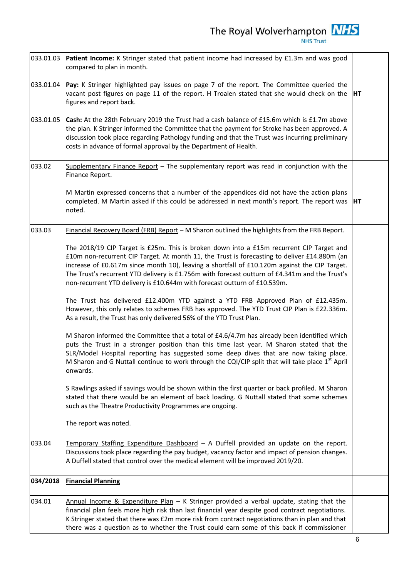|           | 033.01.03 Patient Income: K Stringer stated that patient income had increased by £1.3m and was good<br>compared to plan in month.                                                                                                                                                                                                                                                                                                                                       |    |
|-----------|-------------------------------------------------------------------------------------------------------------------------------------------------------------------------------------------------------------------------------------------------------------------------------------------------------------------------------------------------------------------------------------------------------------------------------------------------------------------------|----|
|           | 033.01.04 <b>Pay:</b> K Stringer highlighted pay issues on page 7 of the report. The Committee queried the<br>vacant post figures on page 11 of the report. H Troalen stated that she would check on the<br>figures and report back.                                                                                                                                                                                                                                    | HT |
| 033.01.05 | Cash: At the 28th February 2019 the Trust had a cash balance of £15.6m which is £1.7m above<br>the plan. K Stringer informed the Committee that the payment for Stroke has been approved. A<br>discussion took place regarding Pathology funding and that the Trust was incurring preliminary<br>costs in advance of formal approval by the Department of Health.                                                                                                       |    |
| 033.02    | Supplementary Finance Report - The supplementary report was read in conjunction with the<br>Finance Report.                                                                                                                                                                                                                                                                                                                                                             |    |
|           | M Martin expressed concerns that a number of the appendices did not have the action plans<br>completed. M Martin asked if this could be addressed in next month's report. The report was<br>noted.                                                                                                                                                                                                                                                                      | HT |
| 033.03    | Financial Recovery Board (FRB) Report - M Sharon outlined the highlights from the FRB Report.                                                                                                                                                                                                                                                                                                                                                                           |    |
|           | The 2018/19 CIP Target is £25m. This is broken down into a £15m recurrent CIP Target and<br>£10m non-recurrent CIP Target. At month 11, the Trust is forecasting to deliver £14.880m (an<br>increase of £0.617m since month 10), leaving a shortfall of £10.120m against the CIP Target.<br>The Trust's recurrent YTD delivery is £1.756m with forecast outturn of £4.341m and the Trust's<br>non-recurrent YTD delivery is £10.644m with forecast outturn of £10.539m. |    |
|           | The Trust has delivered £12.400m YTD against a YTD FRB Approved Plan of £12.435m.<br>However, this only relates to schemes FRB has approved. The YTD Trust CIP Plan is £22.336m.<br>As a result, the Trust has only delivered 56% of the YTD Trust Plan.                                                                                                                                                                                                                |    |
|           | M Sharon informed the Committee that a total of £4.6/4.7m has already been identified which<br>puts the Trust in a stronger position than this time last year. M Sharon stated that the<br>SLR/Model Hospital reporting has suggested some deep dives that are now taking place.<br>M Sharon and G Nuttall continue to work through the CQI/CIP split that will take place 1 <sup>st</sup> April<br>onwards.                                                            |    |
|           | S Rawlings asked if savings would be shown within the first quarter or back profiled. M Sharon<br>stated that there would be an element of back loading. G Nuttall stated that some schemes<br>such as the Theatre Productivity Programmes are ongoing.                                                                                                                                                                                                                 |    |
|           | The report was noted.                                                                                                                                                                                                                                                                                                                                                                                                                                                   |    |
| 033.04    | Temporary Staffing Expenditure Dashboard - A Duffell provided an update on the report.<br>Discussions took place regarding the pay budget, vacancy factor and impact of pension changes.<br>A Duffell stated that control over the medical element will be improved 2019/20.                                                                                                                                                                                            |    |
| 034/2018  | <b>Financial Planning</b>                                                                                                                                                                                                                                                                                                                                                                                                                                               |    |
| 034.01    | Annual Income & Expenditure Plan - K Stringer provided a verbal update, stating that the<br>financial plan feels more high risk than last financial year despite good contract negotiations.<br>K Stringer stated that there was £2m more risk from contract negotiations than in plan and that<br>there was a question as to whether the Trust could earn some of this back if commissioner                                                                            |    |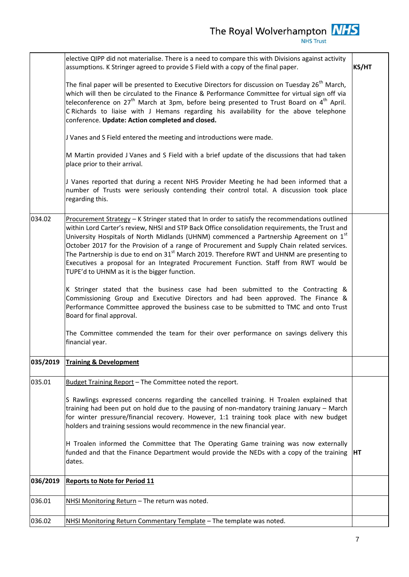|          | elective QIPP did not materialise. There is a need to compare this with Divisions against activity<br>assumptions. K Stringer agreed to provide S Field with a copy of the final paper.                                                                                                                                                                                                                                                                                                                                                                                                                                             |    |
|----------|-------------------------------------------------------------------------------------------------------------------------------------------------------------------------------------------------------------------------------------------------------------------------------------------------------------------------------------------------------------------------------------------------------------------------------------------------------------------------------------------------------------------------------------------------------------------------------------------------------------------------------------|----|
|          | The final paper will be presented to Executive Directors for discussion on Tuesday 26 <sup>th</sup> March,<br>which will then be circulated to the Finance & Performance Committee for virtual sign off via<br>teleconference on 27 <sup>th</sup> March at 3pm, before being presented to Trust Board on 4 <sup>th</sup> April.<br>C Richards to liaise with J Hemans regarding his availability for the above telephone<br>conference. Update: Action completed and closed.                                                                                                                                                        |    |
|          | J Vanes and S Field entered the meeting and introductions were made.                                                                                                                                                                                                                                                                                                                                                                                                                                                                                                                                                                |    |
|          | M Martin provided J Vanes and S Field with a brief update of the discussions that had taken<br>place prior to their arrival.                                                                                                                                                                                                                                                                                                                                                                                                                                                                                                        |    |
|          | J Vanes reported that during a recent NHS Provider Meeting he had been informed that a<br>number of Trusts were seriously contending their control total. A discussion took place<br>regarding this.                                                                                                                                                                                                                                                                                                                                                                                                                                |    |
| 034.02   | Procurement Strategy - K Stringer stated that In order to satisfy the recommendations outlined<br>within Lord Carter's review, NHSI and STP Back Office consolidation requirements, the Trust and<br>University Hospitals of North Midlands (UHNM) commenced a Partnership Agreement on 1st<br>October 2017 for the Provision of a range of Procurement and Supply Chain related services.<br>The Partnership is due to end on $31st$ March 2019. Therefore RWT and UHNM are presenting to<br>Executives a proposal for an Integrated Procurement Function. Staff from RWT would be<br>TUPE'd to UHNM as it is the bigger function. |    |
|          | K Stringer stated that the business case had been submitted to the Contracting &<br>Commissioning Group and Executive Directors and had been approved. The Finance &<br>Performance Committee approved the business case to be submitted to TMC and onto Trust<br>Board for final approval.                                                                                                                                                                                                                                                                                                                                         |    |
|          | The Committee commended the team for their over performance on savings delivery this<br>financial year.                                                                                                                                                                                                                                                                                                                                                                                                                                                                                                                             |    |
| 035/2019 | <b>Training &amp; Development</b>                                                                                                                                                                                                                                                                                                                                                                                                                                                                                                                                                                                                   |    |
| 035.01   | Budget Training Report - The Committee noted the report.                                                                                                                                                                                                                                                                                                                                                                                                                                                                                                                                                                            |    |
|          | S Rawlings expressed concerns regarding the cancelled training. H Troalen explained that<br>training had been put on hold due to the pausing of non-mandatory training January - March<br>for winter pressure/financial recovery. However, 1:1 training took place with new budget<br>holders and training sessions would recommence in the new financial year.                                                                                                                                                                                                                                                                     |    |
|          | H Troalen informed the Committee that The Operating Game training was now externally<br>funded and that the Finance Department would provide the NEDs with a copy of the training<br>dates.                                                                                                                                                                                                                                                                                                                                                                                                                                         | HT |
| 036/2019 | <b>Reports to Note for Period 11</b>                                                                                                                                                                                                                                                                                                                                                                                                                                                                                                                                                                                                |    |
| 036.01   | NHSI Monitoring Return - The return was noted.                                                                                                                                                                                                                                                                                                                                                                                                                                                                                                                                                                                      |    |
| 036.02   | NHSI Monitoring Return Commentary Template - The template was noted.                                                                                                                                                                                                                                                                                                                                                                                                                                                                                                                                                                |    |